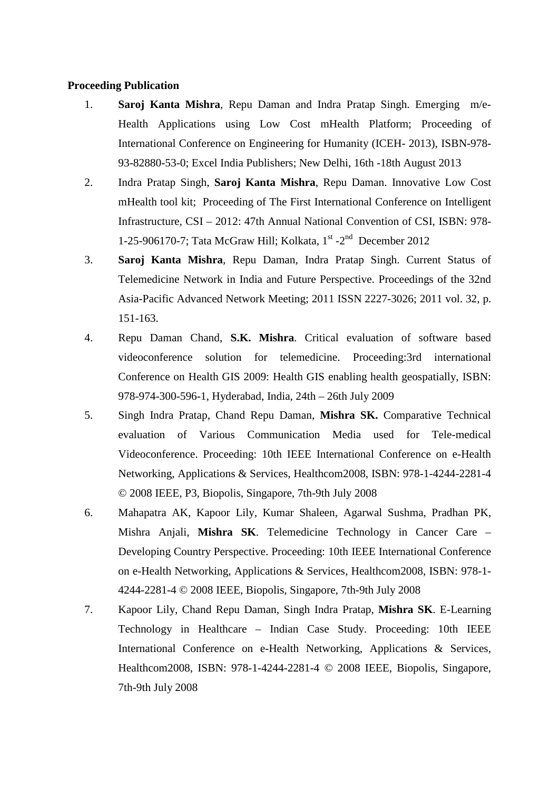## **Proceeding Publication**

- 1. **Saroj Kanta Mishra**, Repu Daman and Indra Pratap Singh. Emerging m/e-Health Applications using Low Cost mHealth Platform; Proceeding of International Conference on Engineering for Humanity (ICEH- 2013), ISBN-978- 93-82880-53-0; Excel India Publishers; New Delhi, 16th -18th August 2013
- 2. Indra Pratap Singh, **Saroj Kanta Mishra**, Repu Daman. Innovative Low Cost mHealth tool kit; Proceeding of The First International Conference on Intelligent Infrastructure, CSI – 2012: 47th Annual National Convention of CSI, ISBN: 978- 1-25-906170-7; Tata McGraw Hill; Kolkata,  $1<sup>st</sup>$ -2<sup>nd</sup> December 2012
- 3. **Saroj Kanta Mishra**, Repu Daman, Indra Pratap Singh. Current Status of Telemedicine Network in India and Future Perspective. Proceedings of the 32nd Asia-Pacific Advanced Network Meeting; 2011 ISSN 2227-3026; 2011 vol. 32, p. 151-163.
- 4. Repu Daman Chand, **S.K. Mishra**. Critical evaluation of software based videoconference solution for telemedicine. Proceeding:3rd international Conference on Health GIS 2009: Health GIS enabling health geospatially, ISBN: 978-974-300-596-1, Hyderabad, India, 24th – 26th July 2009
- 5. Singh Indra Pratap, Chand Repu Daman, **Mishra SK.** Comparative Technical evaluation of Various Communication Media used for Tele-medical Videoconference. Proceeding: 10th IEEE International Conference on e-Health Networking, Applications & Services, Healthcom2008, ISBN: 978-1-4244-2281-4 © 2008 IEEE, P3, Biopolis, Singapore, 7th-9th July 2008
- 6. Mahapatra AK, Kapoor Lily, Kumar Shaleen, Agarwal Sushma, Pradhan PK, Mishra Anjali, **Mishra SK**. Telemedicine Technology in Cancer Care – Developing Country Perspective. Proceeding: 10th IEEE International Conference on e-Health Networking, Applications & Services, Healthcom2008, ISBN: 978-1- 4244-2281-4 © 2008 IEEE, Biopolis, Singapore, 7th-9th July 2008
- 7. Kapoor Lily, Chand Repu Daman, Singh Indra Pratap, **Mishra SK**. E-Learning Technology in Healthcare – Indian Case Study. Proceeding: 10th IEEE International Conference on e-Health Networking, Applications & Services, Healthcom2008, ISBN: 978-1-4244-2281-4 © 2008 IEEE, Biopolis, Singapore, 7th-9th July 2008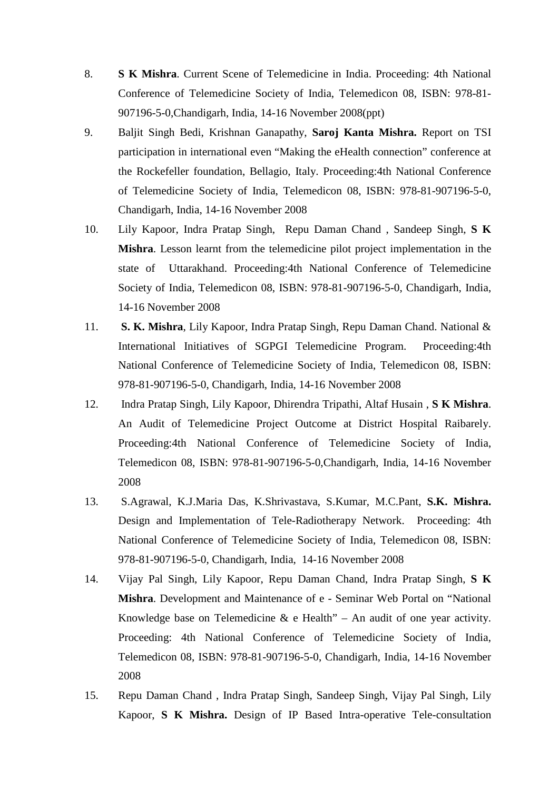- 8. **S K Mishra**. Current Scene of Telemedicine in India. Proceeding: 4th National Conference of Telemedicine Society of India, Telemedicon 08, ISBN: 978-81- 907196-5-0,Chandigarh, India, 14-16 November 2008(ppt)
- 9. Baljit Singh Bedi, Krishnan Ganapathy, **Saroj Kanta Mishra.** Report on TSI participation in international even "Making the eHealth connection" conference at the Rockefeller foundation, Bellagio, Italy. Proceeding:4th National Conference of Telemedicine Society of India, Telemedicon 08, ISBN: 978-81-907196-5-0, Chandigarh, India, 14-16 November 2008
- 10. Lily Kapoor, Indra Pratap Singh, Repu Daman Chand , Sandeep Singh, **S K Mishra**. Lesson learnt from the telemedicine pilot project implementation in the state of Uttarakhand. Proceeding:4th National Conference of Telemedicine Society of India, Telemedicon 08, ISBN: 978-81-907196-5-0, Chandigarh, India, 14-16 November 2008
- 11. **S. K. Mishra**, Lily Kapoor, Indra Pratap Singh, Repu Daman Chand. National & International Initiatives of SGPGI Telemedicine Program. Proceeding:4th National Conference of Telemedicine Society of India, Telemedicon 08, ISBN: 978-81-907196-5-0, Chandigarh, India, 14-16 November 2008
- 12. Indra Pratap Singh, Lily Kapoor, Dhirendra Tripathi, Altaf Husain , **S K Mishra**. An Audit of Telemedicine Project Outcome at District Hospital Raibarely. Proceeding:4th National Conference of Telemedicine Society of India, Telemedicon 08, ISBN: 978-81-907196-5-0,Chandigarh, India, 14-16 November 2008
- 13. S.Agrawal, K.J.Maria Das, K.Shrivastava, S.Kumar, M.C.Pant, **S.K. Mishra.** Design and Implementation of Tele-Radiotherapy Network. Proceeding: 4th National Conference of Telemedicine Society of India, Telemedicon 08, ISBN: 978-81-907196-5-0, Chandigarh, India, 14-16 November 2008
- 14. Vijay Pal Singh, Lily Kapoor, Repu Daman Chand, Indra Pratap Singh, **S K Mishra**. Development and Maintenance of e - Seminar Web Portal on "National Knowledge base on Telemedicine  $\&$  e Health" – An audit of one year activity. Proceeding: 4th National Conference of Telemedicine Society of India, Telemedicon 08, ISBN: 978-81-907196-5-0, Chandigarh, India, 14-16 November 2008
- 15. Repu Daman Chand , Indra Pratap Singh, Sandeep Singh, Vijay Pal Singh, Lily Kapoor, **S K Mishra.** Design of IP Based Intra-operative Tele-consultation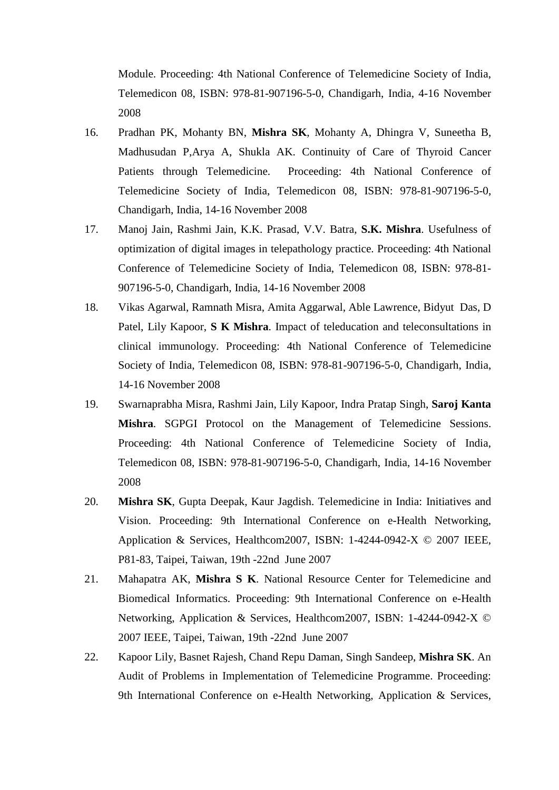Module. Proceeding: 4th National Conference of Telemedicine Society of India, Telemedicon 08, ISBN: 978-81-907196-5-0, Chandigarh, India, 4-16 November 2008

- 16. Pradhan PK, Mohanty BN, **Mishra SK**, Mohanty A, Dhingra V, Suneetha B, Madhusudan P,Arya A, Shukla AK. Continuity of Care of Thyroid Cancer Patients through Telemedicine. Proceeding: 4th National Conference of Telemedicine Society of India, Telemedicon 08, ISBN: 978-81-907196-5-0, Chandigarh, India, 14-16 November 2008
- 17. Manoj Jain, Rashmi Jain, K.K. Prasad, V.V. Batra, **S.K. Mishra**. Usefulness of optimization of digital images in telepathology practice. Proceeding: 4th National Conference of Telemedicine Society of India, Telemedicon 08, ISBN: 978-81- 907196-5-0, Chandigarh, India, 14-16 November 2008
- 18. Vikas Agarwal, Ramnath Misra, Amita Aggarwal, Able Lawrence, Bidyut Das, D Patel, Lily Kapoor, **S K Mishra**. Impact of teleducation and teleconsultations in clinical immunology. Proceeding: 4th National Conference of Telemedicine Society of India, Telemedicon 08, ISBN: 978-81-907196-5-0, Chandigarh, India, 14-16 November 2008
- 19. Swarnaprabha Misra, Rashmi Jain, Lily Kapoor, Indra Pratap Singh, **Saroj Kanta Mishra**. SGPGI Protocol on the Management of Telemedicine Sessions. Proceeding: 4th National Conference of Telemedicine Society of India, Telemedicon 08, ISBN: 978-81-907196-5-0, Chandigarh, India, 14-16 November 2008
- 20. **Mishra SK**, Gupta Deepak, Kaur Jagdish. Telemedicine in India: Initiatives and Vision. Proceeding: 9th International Conference on e-Health Networking, Application & Services, Healthcom2007, ISBN: 1-4244-0942-X © 2007 IEEE, P81-83, Taipei, Taiwan, 19th -22nd June 2007
- 21. Mahapatra AK, **Mishra S K**. National Resource Center for Telemedicine and Biomedical Informatics. Proceeding: 9th International Conference on e-Health Networking, Application & Services, Healthcom2007, ISBN: 1-4244-0942-X © 2007 IEEE, Taipei, Taiwan, 19th -22nd June 2007
- 22. Kapoor Lily, Basnet Rajesh, Chand Repu Daman, Singh Sandeep, **Mishra SK**. An Audit of Problems in Implementation of Telemedicine Programme. Proceeding: 9th International Conference on e-Health Networking, Application & Services,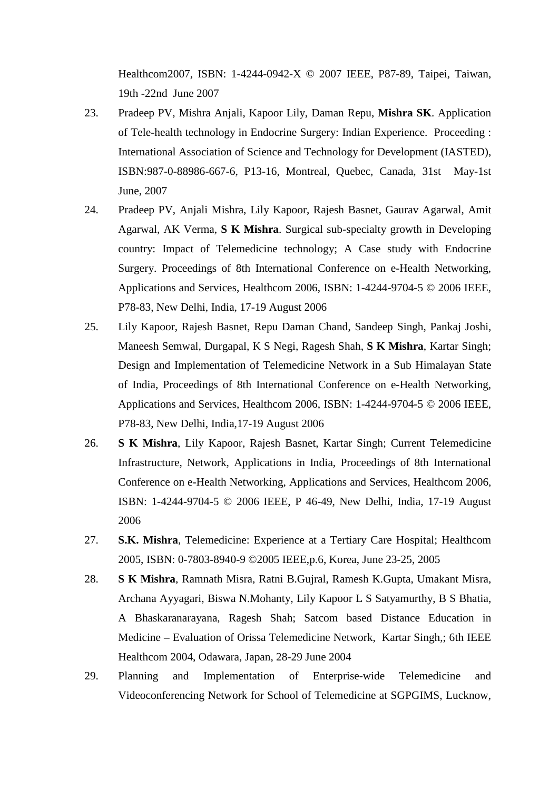Healthcom2007, ISBN: 1-4244-0942-X © 2007 IEEE, P87-89, Taipei, Taiwan, 19th -22nd June 2007

- 23. Pradeep PV, Mishra Anjali, Kapoor Lily, Daman Repu, **Mishra SK**. Application of Tele-health technology in Endocrine Surgery: Indian Experience. Proceeding : International Association of Science and Technology for Development (IASTED), ISBN:987-0-88986-667-6, P13-16, Montreal, Quebec, Canada, 31st May-1st June, 2007
- 24. Pradeep PV, Anjali Mishra, Lily Kapoor, Rajesh Basnet, Gaurav Agarwal, Amit Agarwal, AK Verma, **S K Mishra**. Surgical sub-specialty growth in Developing country: Impact of Telemedicine technology; A Case study with Endocrine Surgery. Proceedings of 8th International Conference on e-Health Networking, Applications and Services, Healthcom 2006, ISBN: 1-4244-9704-5 © 2006 IEEE, P78-83, New Delhi, India, 17-19 August 2006
- 25. Lily Kapoor, Rajesh Basnet, Repu Daman Chand, Sandeep Singh, Pankaj Joshi, Maneesh Semwal, Durgapal, K S Negi, Ragesh Shah, **S K Mishra**, Kartar Singh; Design and Implementation of Telemedicine Network in a Sub Himalayan State of India, Proceedings of 8th International Conference on e-Health Networking, Applications and Services, Healthcom 2006, ISBN: 1-4244-9704-5 © 2006 IEEE, P78-83, New Delhi, India,17-19 August 2006
- 26. **S K Mishra**, Lily Kapoor, Rajesh Basnet, Kartar Singh; Current Telemedicine Infrastructure, Network, Applications in India, Proceedings of 8th International Conference on e-Health Networking, Applications and Services, Healthcom 2006, ISBN: 1-4244-9704-5 © 2006 IEEE, P 46-49, New Delhi, India, 17-19 August 2006
- 27. **S.K. Mishra**, Telemedicine: Experience at a Tertiary Care Hospital; Healthcom 2005, ISBN: 0-7803-8940-9 ©2005 IEEE,p.6, Korea, June 23-25, 2005
- 28. **S K Mishra**, Ramnath Misra, Ratni B.Gujral, Ramesh K.Gupta, Umakant Misra, Archana Ayyagari, Biswa N.Mohanty, Lily Kapoor L S Satyamurthy, B S Bhatia, A Bhaskaranarayana, Ragesh Shah; Satcom based Distance Education in Medicine – Evaluation of Orissa Telemedicine Network, Kartar Singh,; 6th IEEE Healthcom 2004, Odawara, Japan, 28-29 June 2004
- 29. Planning and Implementation of Enterprise-wide Telemedicine and Videoconferencing Network for School of Telemedicine at SGPGIMS, Lucknow,